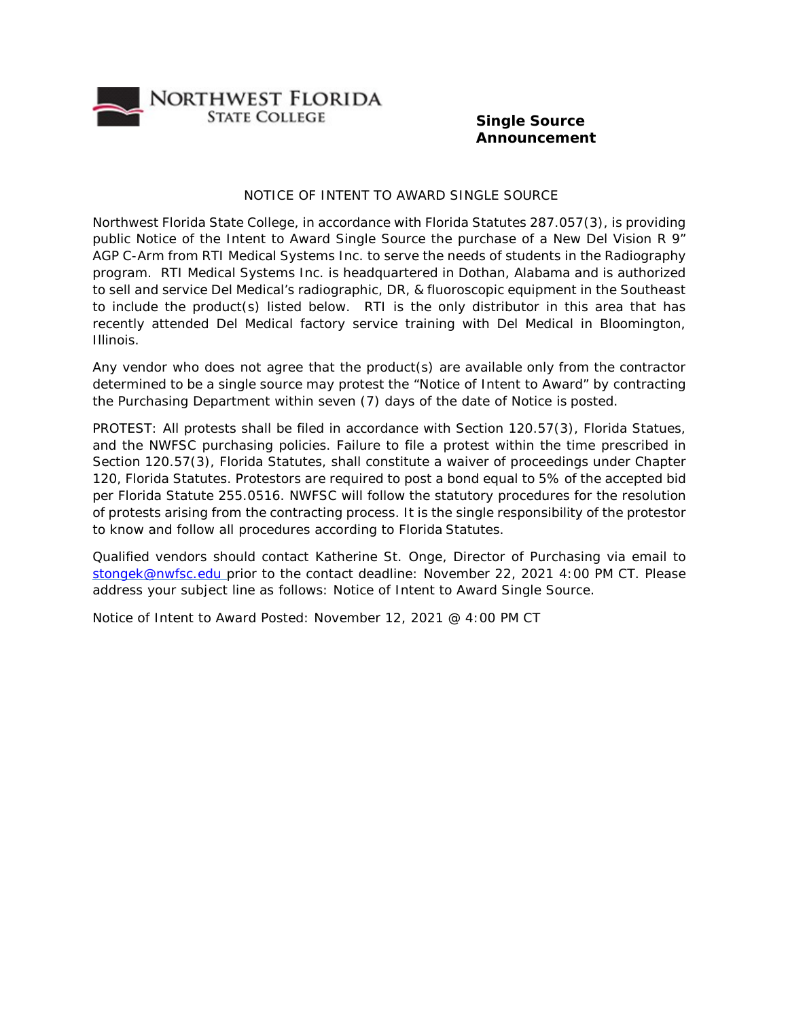

## **Single Source Announcement**

## NOTICE OF INTENT TO AWARD SINGLE SOURCE

Northwest Florida State College, in accordance with Florida Statutes 287.057(3), is providing public Notice of the Intent to Award Single Source the purchase of a New Del Vision R 9" AGP C-Arm from RTI Medical Systems Inc. to serve the needs of students in the Radiography program. RTI Medical Systems Inc. is headquartered in Dothan, Alabama and is authorized to sell and service Del Medical's radiographic, DR, & fluoroscopic equipment in the Southeast to include the product(s) listed below. RTI is the only distributor in this area that has recently attended Del Medical factory service training with Del Medical in Bloomington, Illinois.

Any vendor who does not agree that the product(s) are available only from the contractor determined to be a single source may protest the "Notice of Intent to Award" by contracting the Purchasing Department within seven (7) days of the date of Notice is posted.

PROTEST: All protests shall be filed in accordance with Section 120.57(3), Florida Statues, and the NWFSC purchasing policies. Failure to file a protest within the time prescribed in Section 120.57(3), Florida Statutes, shall constitute a waiver of proceedings under Chapter 120, Florida Statutes. Protestors are required to post a bond equal to 5% of the accepted bid per Florida Statute 255.0516. NWFSC will follow the statutory procedures for the resolution of protests arising from the contracting process. It is the single responsibility of the protestor to know and follow all procedures according to Florida Statutes.

Qualified vendors should contact Katherine St. Onge, Director of Purchasing via email to [stongek@nwfsc.edu p](mailto:stongek@nwfsc.edu)rior to the contact deadline: November 22, 2021 4:00 PM CT. Please address your subject line as follows: Notice of Intent to Award Single Source.

Notice of Intent to Award Posted: November 12, 2021 @ 4:00 PM CT